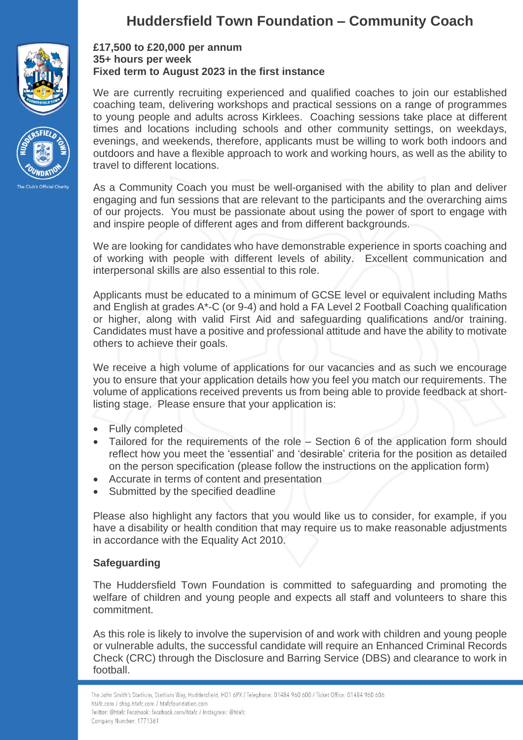



# **Huddersfield Town Foundation – Community Coach**

### **£17,500 to £20,000 per annum 35+ hours per week Fixed term to August 2023 in the first instance**

We are currently recruiting experienced and qualified coaches to join our established coaching team, delivering workshops and practical sessions on a range of programmes to young people and adults across Kirklees. Coaching sessions take place at different times and locations including schools and other community settings, on weekdays, evenings, and weekends, therefore, applicants must be willing to work both indoors and outdoors and have a flexible approach to work and working hours, as well as the ability to travel to different locations.

As a Community Coach you must be well-organised with the ability to plan and deliver engaging and fun sessions that are relevant to the participants and the overarching aims of our projects. You must be passionate about using the power of sport to engage with and inspire people of different ages and from different backgrounds.

We are looking for candidates who have demonstrable experience in sports coaching and of working with people with different levels of ability. Excellent communication and interpersonal skills are also essential to this role.

Applicants must be educated to a minimum of GCSE level or equivalent including Maths and English at grades A\*-C (or 9-4) and hold a FA Level 2 Football Coaching qualification or higher, along with valid First Aid and safeguarding qualifications and/or training. Candidates must have a positive and professional attitude and have the ability to motivate others to achieve their goals.

We receive a high volume of applications for our vacancies and as such we encourage you to ensure that your application details how you feel you match our requirements. The volume of applications received prevents us from being able to provide feedback at shortlisting stage. Please ensure that your application is:

- Fully completed
- Tailored for the requirements of the role Section 6 of the application form should reflect how you meet the 'essential' and 'desirable' criteria for the position as detailed on the person specification (please follow the instructions on the application form)
- Accurate in terms of content and presentation
- Submitted by the specified deadline

Please also highlight any factors that you would like us to consider, for example, if you have a disability or health condition that may require us to make reasonable adjustments in accordance with the Equality Act 2010.

## **Safeguarding**

The Huddersfield Town Foundation is committed to safeguarding and promoting the welfare of children and young people and expects all staff and volunteers to share this commitment.

As this role is likely to involve the supervision of and work with children and young people or vulnerable adults, the successful candidate will require an Enhanced Criminal Records Check (CRC) through the Disclosure and Barring Service (DBS) and clearance to work in football.